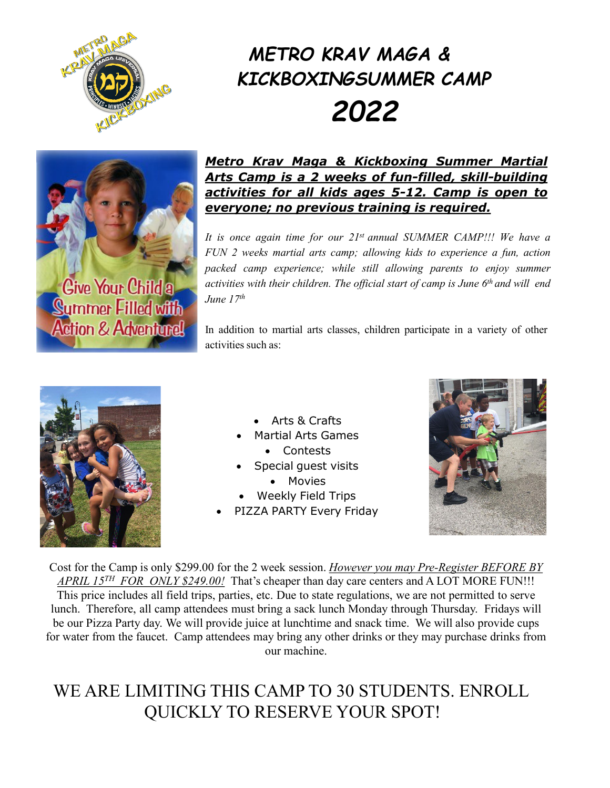

# *METRO KRAV MAGA & KICKBOXINGSUMMER CAMP 2022*



**Give Your Child a Summer Filled with Action & Adventure!** 

#### *Metro Krav Maga & Kickboxing Summer Martial Arts Camp is a 2 weeks of fun-filled, skill-building activities for all kids ages 5-12. Camp is open to everyone; no previous training is required.*

*It is once again time for our 21st annual SUMMER CAMP!!! We have a FUN 2 weeks martial arts camp; allowing kids to experience a fun, action packed camp experience; while still allowing parents to enjoy summer activities with their children. The official start of camp is June 6th and will end June 17th*

In addition to martial arts classes, children participate in a variety of other activities such as:



- Arts & Crafts
- Martial Arts Games
	- Contests
- Special guest visits
	- Movies
- Weekly Field Trips
- PIZZA PARTY Every Friday



Cost for the Camp is only \$299.00 for the 2 week session. *However you may Pre-Register BEFORE BY APRIL 15TH FOR ONLY \$249.00!* That's cheaper than day care centers and A LOT MORE FUN!!! This price includes all field trips, parties, etc. Due to state regulations, we are not permitted to serve lunch. Therefore, all camp attendees must bring a sack lunch Monday through Thursday. Fridays will be our Pizza Party day. We will provide juice at lunchtime and snack time. We will also provide cups for water from the faucet. Camp attendees may bring any other drinks or they may purchase drinks from our machine.

## WE ARE LIMITING THIS CAMP TO 30 STUDENTS. ENROLL QUICKLY TO RESERVE YOUR SPOT!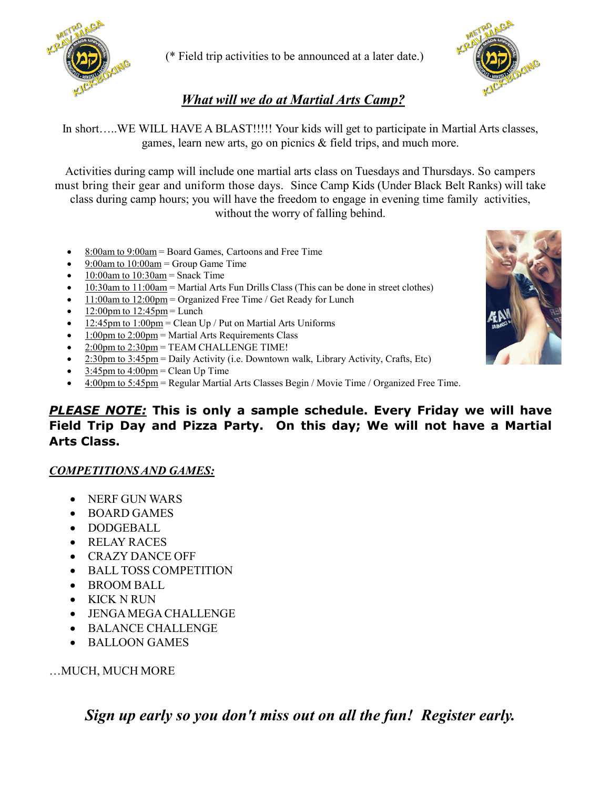

(\* Field trip activities to be announced at a later date.)



### *What will we do at Martial Arts Camp?*

In short…..WE WILL HAVE A BLAST!!!!! Your kids will get to participate in Martial Arts classes, games, learn new arts, go on picnics & field trips, and much more.

Activities during camp will include one martial arts class on Tuesdays and Thursdays. So campers must bring their gear and uniform those days. Since Camp Kids (Under Black Belt Ranks) will take class during camp hours; you will have the freedom to engage in evening time family activities, without the worry of falling behind.

- 8:00am to 9:00am = Board Games, Cartoons and Free Time
- 9:00am to 10:00am = Group Game Time
- $10:00$ am to  $10:30$ am = Snack Time
- 10:30am to 11:00am = Martial Arts Fun Drills Class (This can be done in street clothes)
- 11:00am to 12:00pm = Organized Free Time / Get Ready for Lunch
- $12:00$ pm to  $12:45$ pm = Lunch
- $12:45$ pm to  $1:00$ pm = Clean Up / Put on Martial Arts Uniforms
- 1:00pm to 2:00pm = Martial Arts Requirements Class
- 2:00pm to 2:30pm = TEAM CHALLENGE TIME!
- 2:30pm to 3:45pm = Daily Activity (i.e. Downtown walk, Library Activity, Crafts, Etc)
- $3:45$ pm to  $4:00$ pm = Clean Up Time
- 4:00pm to 5:45pm = Regular Martial Arts Classes Begin / Movie Time / Organized Free Time.

#### *PLEASE NOTE:* **This is only a sample schedule. Every Friday we will have Field Trip Day and Pizza Party. On this day; We will not have a Martial Arts Class.**

#### *COMPETITIONSAND GAMES:*

- NERF GUN WARS
- BOARD GAMES
- DODGEBALL
- RELAY RACES
- CRAZY DANCE OFF
- BALL TOSS COMPETITION
- BROOM BALL
- KICK N RUN
- JENGAMEGA CHALLENGE
- BALANCE CHALLENGE
- BALLOON GAMES

…MUCH, MUCH MORE

*Sign up early so you don't miss out on all the fun! Register early.*

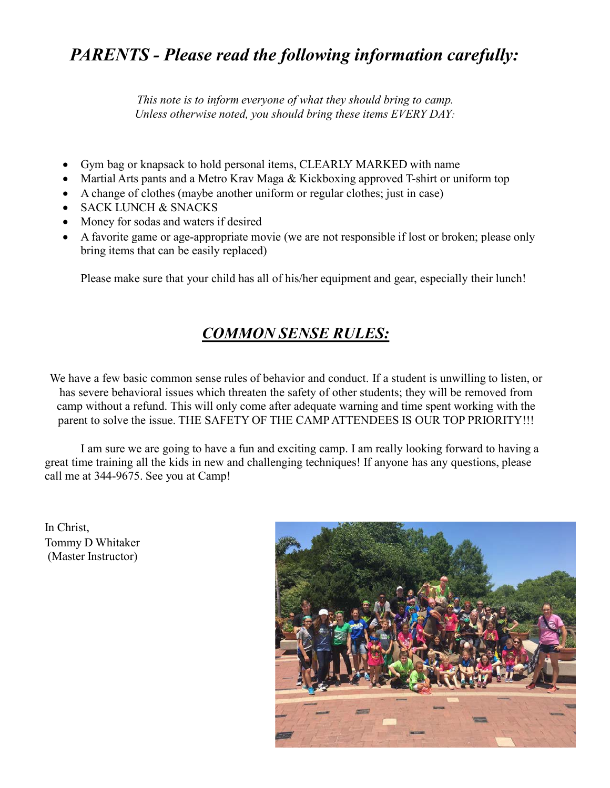## *PARENTS - Please read the following information carefully:*

*This note is to inform everyone of what they should bring to camp. Unless otherwise noted, you should bring these items EVERY DAY:*

- Gym bag or knapsack to hold personal items, CLEARLY MARKED with name
- Martial Arts pants and a Metro Krav Maga & Kickboxing approved T-shirt or uniform top
- A change of clothes (maybe another uniform or regular clothes; just in case)
- SACK LUNCH & SNACKS
- Money for sodas and waters if desired
- A favorite game or age-appropriate movie (we are not responsible if lost or broken; please only bring items that can be easily replaced)

Please make sure that your child has all of his/her equipment and gear, especially their lunch!

## *COMMON SENSE RULES:*

We have a few basic common sense rules of behavior and conduct. If a student is unwilling to listen, or has severe behavioral issues which threaten the safety of other students; they will be removed from camp without a refund. This will only come after adequate warning and time spent working with the parent to solve the issue. THE SAFETY OF THE CAMPATTENDEES IS OUR TOP PRIORITY!!!

I am sure we are going to have a fun and exciting camp. I am really looking forward to having a great time training all the kids in new and challenging techniques! If anyone has any questions, please call me at 344-9675. See you at Camp!

In Christ, Tommy D Whitaker (Master Instructor)